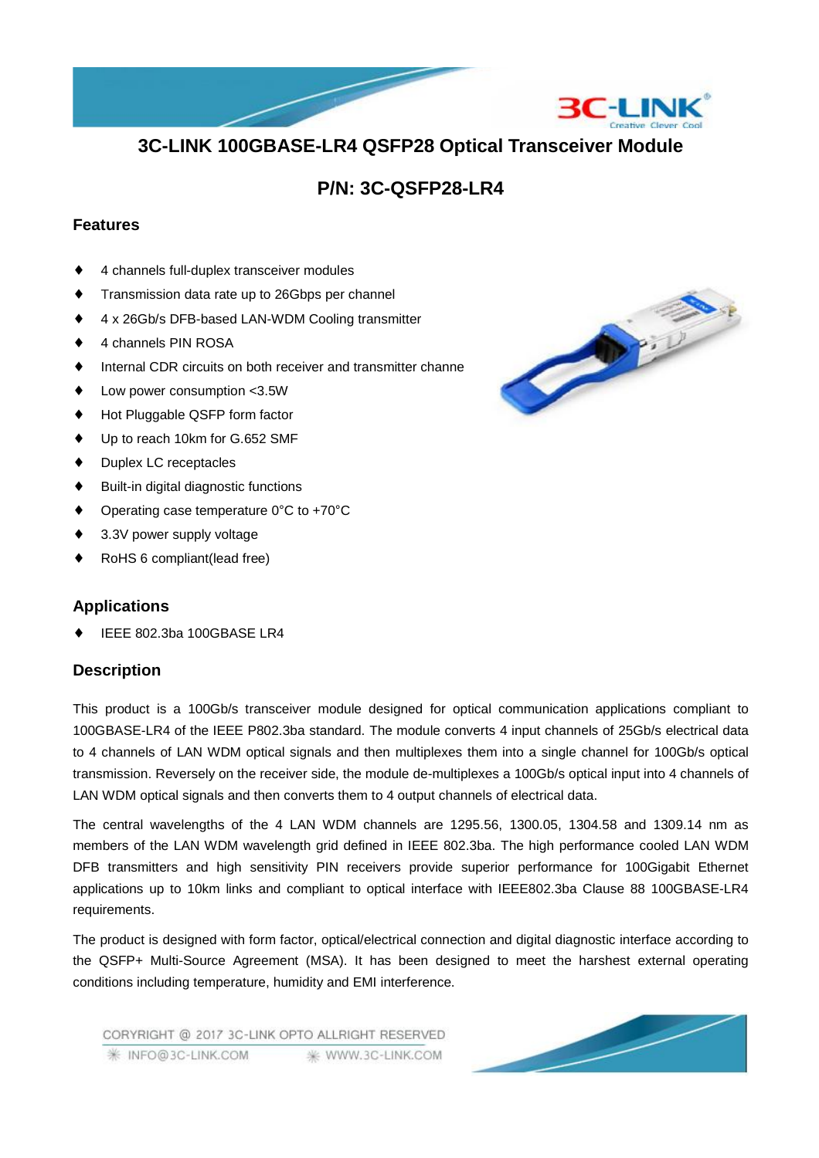# **3C-LINK 100GBASE-LR4 QSFP28 Optical Transceiver Module**

# **P/N: 3C-QSFP28-LR4**

### **Features**

- 4 channels full-duplex transceiver modules
- Transmission data rate up to 26Gbps per channel
- 4 x 26Gb/s DFB-based LAN-WDM Cooling transmitter
- 4 channels PIN ROSA
- Internal CDR circuits on both receiver and transmitter channel
- Low power consumption <3.5W
- Hot Pluggable QSFP form factor
- Up to reach 10km for G.652 SMF
- Duplex LC receptacles
- Built-in digital diagnostic functions
- Operating case temperature  $0^{\circ}$ C to +70 $^{\circ}$ C
- 3.3V power supply voltage
- RoHS 6 compliant(lead free)

### **Applications**

IEEE 802.3ba 100GBASE LR4

#### **Description**

This product is a 100Gb/s transceiver module designed for optical communication applications compliant to 100GBASE-LR4 of the IEEE P802.3ba standard. The module converts 4 input channels of 25Gb/s electrical data to 4 channels of LAN WDM optical signals and then multiplexes them into a single channel for 100Gb/s optical transmission. Reversely on the receiver side, the module de-multiplexes a 100Gb/s optical input into 4 channels of LAN WDM optical signals and then converts them to 4 output channels of electrical data.

The central wavelengths of the 4 LAN WDM channels are 1295.56, 1300.05, 1304.58 and 1309.14 nm as members of the LAN WDM wavelength grid defined in IEEE 802.3ba. The high performance cooled LAN WDM DFB transmitters and high sensitivity PIN receivers provide superior performance for 100Gigabit Ethernet applications up to 10km links and compliant to optical interface with IEEE802.3ba Clause 88 100GBASE-LR4 requirements.

The product is designed with form factor, optical/electrical connection and digital diagnostic interface according to the QSFP+ Multi-Source Agreement (MSA). It has been designed to meet the harshest external operating conditions including temperature, humidity and EMI interference.

CORYRIGHT @ 2017 3C-LINK OPTO ALLRIGHT RESERVED **/ INFO@3C-LINK.COM** ₩ WWW.3C-LINK.COM



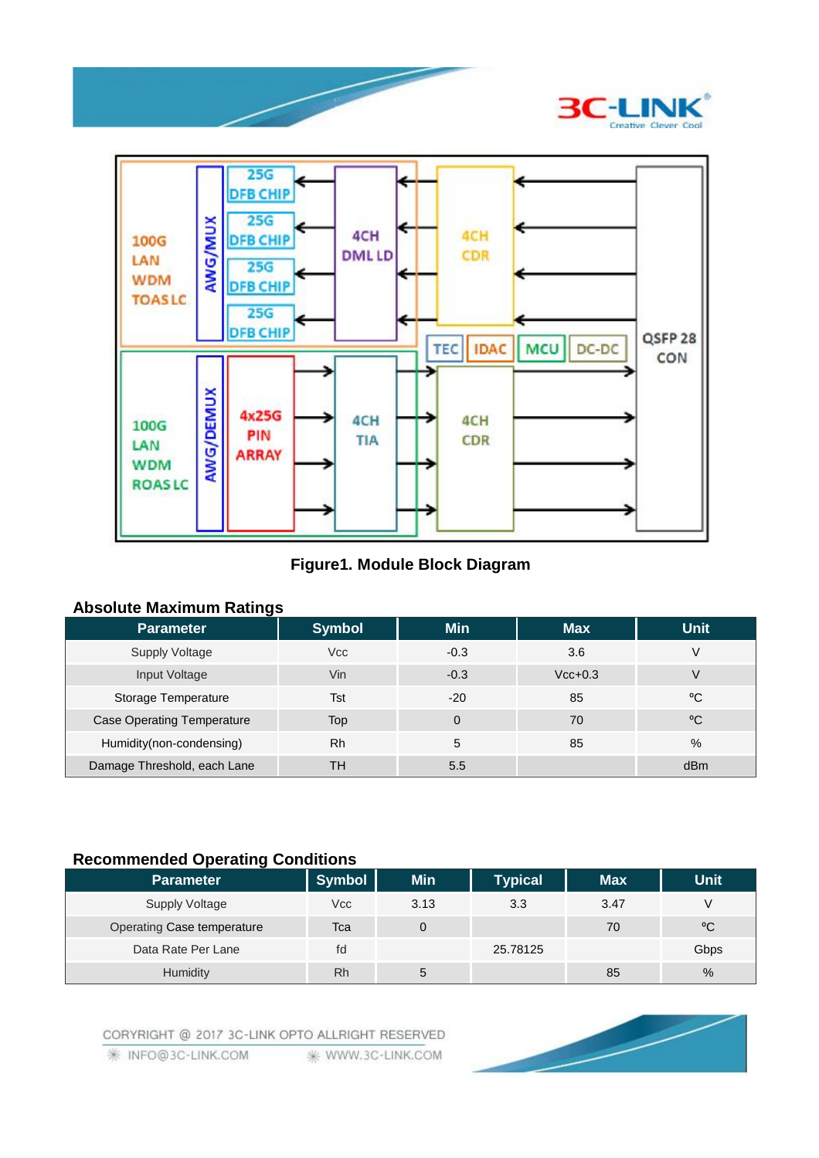



## **Figure1. Module Block Diagram**

#### **Absolute Maximum Ratings**

| <b>Parameter</b>                  | <b>Symbol</b> | <b>Min</b> | <b>Max</b> | <b>Unit</b> |
|-----------------------------------|---------------|------------|------------|-------------|
| <b>Supply Voltage</b>             | Vcc           | $-0.3$     | 3.6        |             |
| Input Voltage                     | Vin           | $-0.3$     | $Vcc+0.3$  | V           |
| Storage Temperature               | Tst           | $-20$      | 85         | °C          |
| <b>Case Operating Temperature</b> | Top           | $\Omega$   | 70         | °C          |
| Humidity(non-condensing)          | Rh            | 5          | 85         | $\%$        |
| Damage Threshold, each Lane       | TН            | 5.5        |            | dBm         |

## **Recommended Operating Conditions**

| _                          |               |            |                |            |             |
|----------------------------|---------------|------------|----------------|------------|-------------|
| <b>Parameter</b>           | <b>Symbol</b> | <b>Min</b> | <b>Typical</b> | <b>Max</b> | <b>Unit</b> |
| Supply Voltage             | Vcc           | 3.13       | 3.3            | 3.47       | V           |
| Operating Case temperature | Tca           | 0          |                | 70         | °C          |
| Data Rate Per Lane         | fd            |            | 25.78125       |            | Gbps        |
| Humidity                   | Rh            | 5          |                | 85         | $\%$        |

CORYRIGHT @ 2017 3C-LINK OPTO ALLRIGHT RESERVED

**₩ INFO@3C-LINK.COM** ₩ WWW.3C-LINK.COM

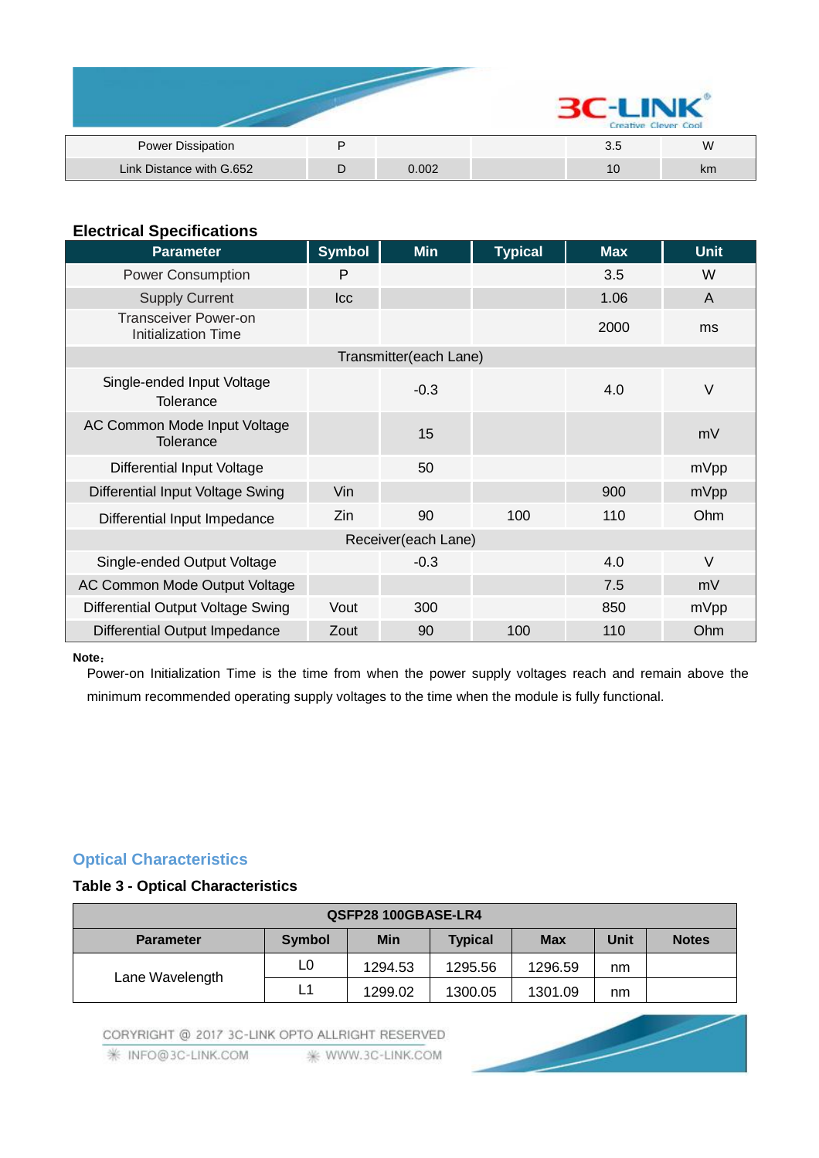|                          |       | Creative Clever Cool |    |
|--------------------------|-------|----------------------|----|
| Power Dissipation        |       | 3.5                  | W  |
| Link Distance with G.652 | 0.002 | 10                   | km |

## **Electrical Specifications**

| <b>Parameter</b>                                          | <b>Symbol</b> | <b>Min</b>             | <b>Typical</b> | <b>Max</b> | <b>Unit</b>    |
|-----------------------------------------------------------|---------------|------------------------|----------------|------------|----------------|
| <b>Power Consumption</b>                                  | P             |                        |                | 3.5        | W              |
| <b>Supply Current</b>                                     | <b>Icc</b>    |                        |                | 1.06       | $\overline{A}$ |
| <b>Transceiver Power-on</b><br><b>Initialization Time</b> |               |                        |                | 2000       | ms             |
|                                                           |               | Transmitter(each Lane) |                |            |                |
| Single-ended Input Voltage<br>Tolerance                   |               | $-0.3$                 |                | 4.0        | $\vee$         |
| AC Common Mode Input Voltage<br><b>Tolerance</b>          |               | 15                     |                |            | mV             |
| <b>Differential Input Voltage</b>                         |               | 50                     |                |            | mVpp           |
| Differential Input Voltage Swing                          | Vin           |                        |                | 900        | mVpp           |
| Differential Input Impedance                              | Zin           | 90                     | 100            | 110        | Ohm            |
|                                                           |               | Receiver(each Lane)    |                |            |                |
| Single-ended Output Voltage                               |               | $-0.3$                 |                | 4.0        | $\vee$         |
| AC Common Mode Output Voltage                             |               |                        |                | 7.5        | mV             |
| Differential Output Voltage Swing                         | Vout          | 300                    |                | 850        | mVpp           |
| Differential Output Impedance                             | Zout          | 90                     | 100            | 110        | Ohm            |

#### **Note:**

Power-on Initialization Time is the time from when the power supply voltages reach and remain above the minimum recommended operating supply voltages to the time when the module is fully functional.

# **Optical Characteristics**

### **Table 3 - Optical Characteristics**

| QSFP28 100GBASE-LR4 |        |            |                |            |             |              |
|---------------------|--------|------------|----------------|------------|-------------|--------------|
| <b>Parameter</b>    | Symbol | <b>Min</b> | <b>Typical</b> | <b>Max</b> | <b>Unit</b> | <b>Notes</b> |
|                     | L0     | 1294.53    | 1295.56        | 1296.59    | nm          |              |
| Lane Wavelength     | L1     | 1299.02    | 1300.05        | 1301.09    | nm          |              |

CORYRIGHT @ 2017 3C-LINK OPTO ALLRIGHT RESERVED

**/ INFO@3C-LINK.COM ※ WWW.3C-LINK.COM**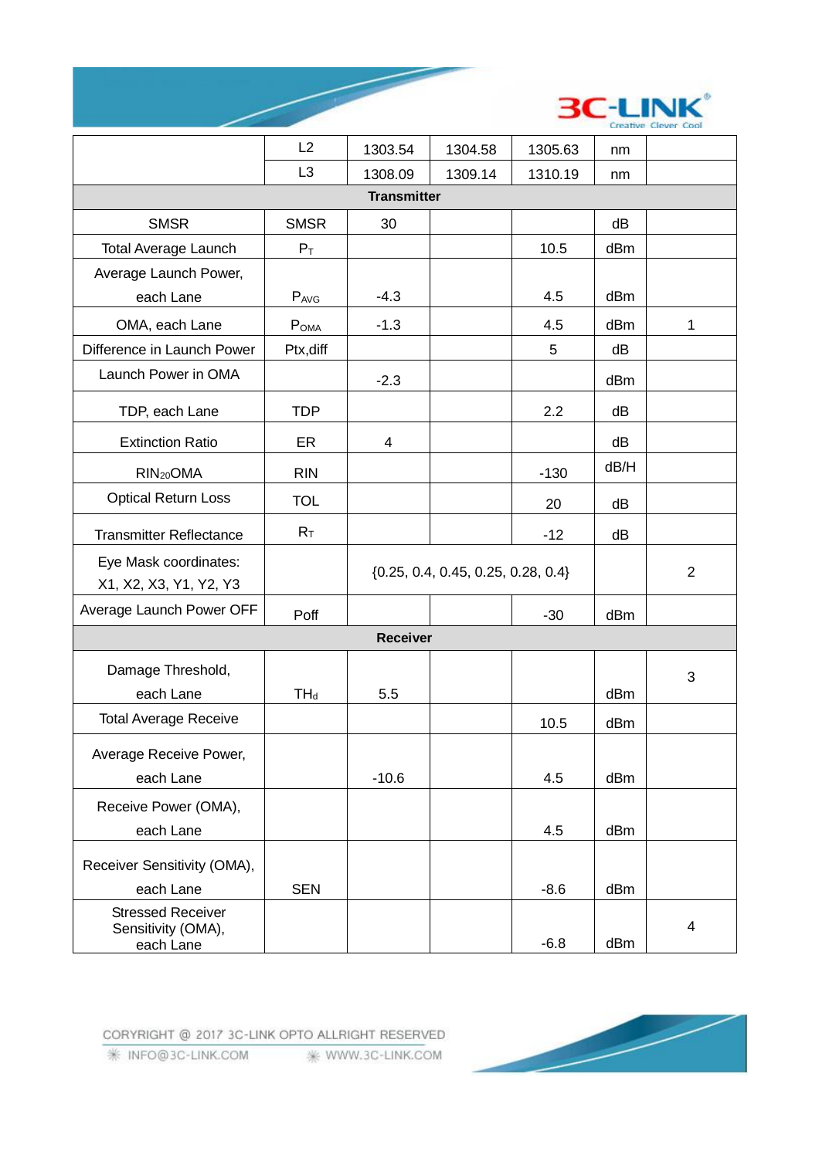



|                                                             | L2               | 1303.54                                | 1304.58 | 1305.63 | nm   |                |
|-------------------------------------------------------------|------------------|----------------------------------------|---------|---------|------|----------------|
|                                                             | L <sub>3</sub>   | 1308.09                                | 1309.14 | 1310.19 | nm   |                |
|                                                             |                  | <b>Transmitter</b>                     |         |         |      |                |
| <b>SMSR</b>                                                 | <b>SMSR</b>      | 30                                     |         |         | dB   |                |
| <b>Total Average Launch</b>                                 | $P_T$            |                                        |         | 10.5    | dBm  |                |
| Average Launch Power,                                       |                  |                                        |         |         |      |                |
| each Lane                                                   | PAVG             | $-4.3$                                 |         | 4.5     | dBm  |                |
| OMA, each Lane                                              | P <sub>OMA</sub> | $-1.3$                                 |         | 4.5     | dBm  | 1              |
| Difference in Launch Power                                  | Ptx, diff        |                                        |         | 5       | dB   |                |
| Launch Power in OMA                                         |                  | $-2.3$                                 |         |         | dBm  |                |
| TDP, each Lane                                              | <b>TDP</b>       |                                        |         | 2.2     | dB   |                |
| <b>Extinction Ratio</b>                                     | ER               | $\overline{4}$                         |         |         | dB   |                |
| RIN <sub>20</sub> OMA                                       | <b>RIN</b>       |                                        |         | $-130$  | dB/H |                |
| <b>Optical Return Loss</b>                                  | <b>TOL</b>       |                                        |         | 20      | dB   |                |
| <b>Transmitter Reflectance</b>                              | $R_T$            |                                        |         | $-12$   | dB   |                |
| Eye Mask coordinates:<br>X1, X2, X3, Y1, Y2, Y3             |                  | $\{0.25, 0.4, 0.45, 0.25, 0.28, 0.4\}$ |         |         |      | $\overline{2}$ |
| Average Launch Power OFF                                    | Poff             |                                        |         | $-30$   | dBm  |                |
|                                                             |                  | <b>Receiver</b>                        |         |         |      |                |
| Damage Threshold,                                           |                  |                                        |         |         |      | 3              |
| each Lane                                                   | $TH_d$           | 5.5                                    |         |         | dBm  |                |
| <b>Total Average Receive</b>                                |                  |                                        |         | 10.5    | dBm  |                |
| Average Receive Power,                                      |                  |                                        |         |         |      |                |
| each Lane                                                   |                  | $-10.6$                                |         | 4.5     | dBm  |                |
| Receive Power (OMA),                                        |                  |                                        |         |         |      |                |
| each Lane                                                   |                  |                                        |         | 4.5     | dBm  |                |
| Receiver Sensitivity (OMA),                                 |                  |                                        |         |         |      |                |
| each Lane                                                   | <b>SEN</b>       |                                        |         | $-8.6$  | dBm  |                |
| <b>Stressed Receiver</b><br>Sensitivity (OMA),<br>each Lane |                  |                                        |         | $-6.8$  | dBm  | 4              |

CORYRIGHT @ 2017 3C-LINK OPTO ALLRIGHT RESERVED

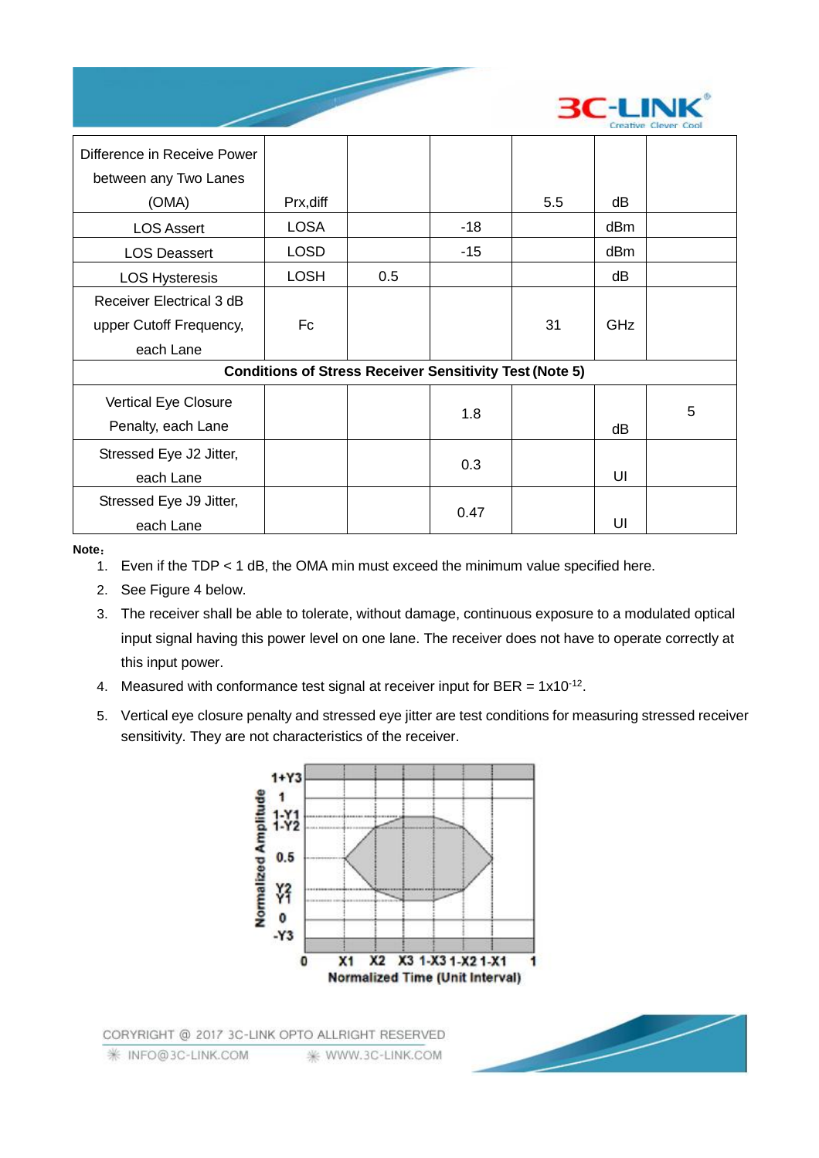

| Difference in Receive Power<br>between any Two Lanes |             |                                                                |       |     |            |   |
|------------------------------------------------------|-------------|----------------------------------------------------------------|-------|-----|------------|---|
| (OMA)                                                | Prx, diff   |                                                                |       | 5.5 | dВ         |   |
| <b>LOS Assert</b>                                    | LOSA        |                                                                | $-18$ |     | dBm        |   |
| <b>LOS Deassert</b>                                  | <b>LOSD</b> |                                                                | $-15$ |     | dBm        |   |
| <b>LOS Hysteresis</b>                                | <b>LOSH</b> | 0.5                                                            |       |     | dВ         |   |
| Receiver Electrical 3 dB                             |             |                                                                |       |     |            |   |
| upper Cutoff Frequency,                              | Fc          |                                                                |       | 31  | <b>GHz</b> |   |
| each Lane                                            |             |                                                                |       |     |            |   |
|                                                      |             | <b>Conditions of Stress Receiver Sensitivity Test (Note 5)</b> |       |     |            |   |
| Vertical Eye Closure<br>Penalty, each Lane           |             |                                                                | 1.8   |     | dВ         | 5 |
| Stressed Eye J2 Jitter,<br>each Lane                 |             |                                                                | 0.3   |     | UI         |   |
| Stressed Eye J9 Jitter,<br>each Lane                 |             |                                                                | 0.47  |     | UI         |   |

**Note:**

- 1. Even if the TDP < 1 dB, the OMA min must exceed the minimum value specified here.
- 2. See Figure 4 below.
- 3. The receiver shall be able to tolerate, without damage, continuous exposure to a modulated optical input signal having this power level on one lane. The receiver does not have to operate correctly at this input power.
- 4. Measured with conformance test signal at receiver input for BER =  $1x10^{-12}$ .
- 5. Vertical eye closure penalty and stressed eye jitter are test conditions for measuring stressed receiver sensitivity. They are not characteristics of the receiver.



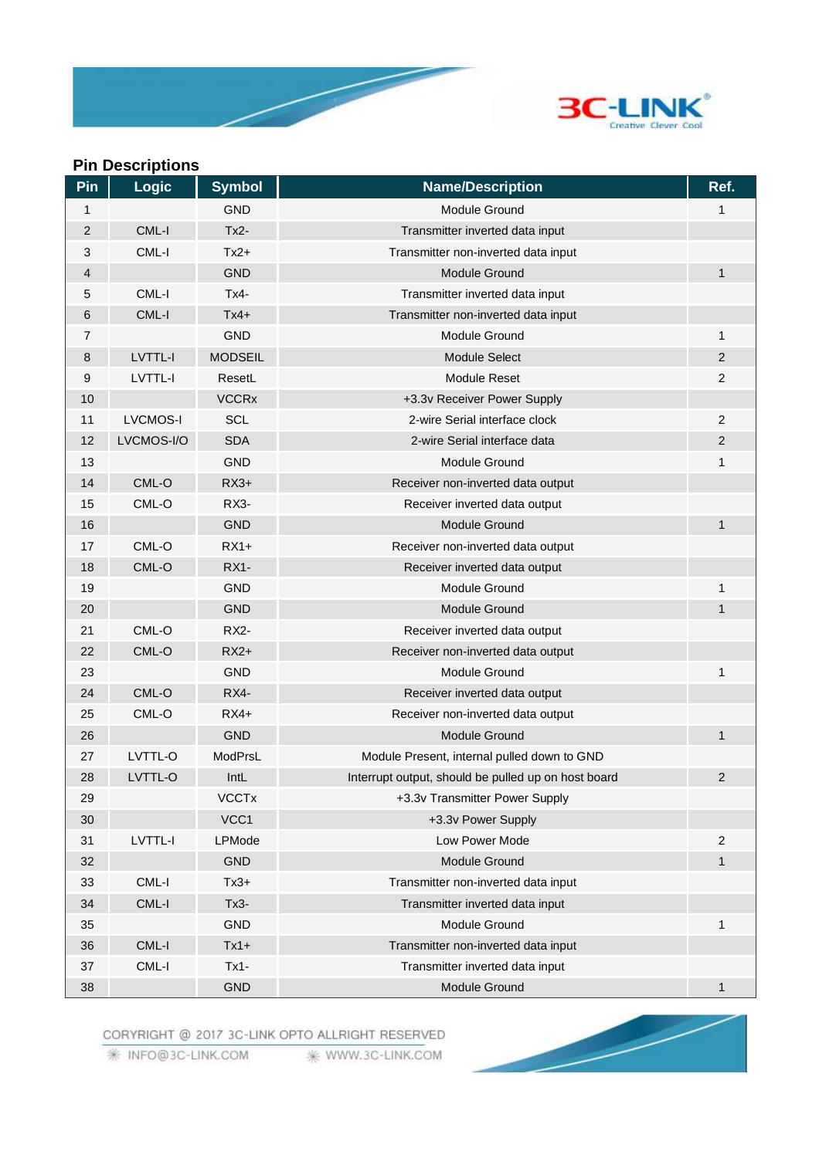

# **Pin Descriptions**

| <b>Pin</b>     | <b>Logic</b>    | <b>Symbol</b>  | <b>Name/Description</b>                             | Ref.           |
|----------------|-----------------|----------------|-----------------------------------------------------|----------------|
| 1              |                 | <b>GND</b>     | <b>Module Ground</b>                                | 1              |
| $\overline{2}$ | CML-I           | $Tx2-$         | Transmitter inverted data input                     |                |
| $\sqrt{3}$     | CML-I           | $Tx2+$         | Transmitter non-inverted data input                 |                |
| 4              |                 | <b>GND</b>     | Module Ground                                       | $\mathbf{1}$   |
| 5              | CML-I           | $Tx4-$         | Transmitter inverted data input                     |                |
| 6              | CML-I           | $Tx4+$         | Transmitter non-inverted data input                 |                |
| 7              |                 | <b>GND</b>     | Module Ground                                       | 1              |
| 8              | LVTTL-I         | <b>MODSEIL</b> | <b>Module Select</b>                                | 2              |
| 9              | LVTTL-I         | ResetL         | <b>Module Reset</b>                                 | $\overline{2}$ |
| 10             |                 | <b>VCCRx</b>   | +3.3v Receiver Power Supply                         |                |
| 11             | <b>LVCMOS-I</b> | <b>SCL</b>     | 2-wire Serial interface clock                       | $\overline{2}$ |
| 12             | LVCMOS-I/O      | <b>SDA</b>     | 2-wire Serial interface data                        | 2              |
| 13             |                 | <b>GND</b>     | Module Ground                                       | 1              |
| 14             | CML-O           | $RX3+$         | Receiver non-inverted data output                   |                |
| 15             | CML-O           | <b>RX3-</b>    | Receiver inverted data output                       |                |
| 16             |                 | <b>GND</b>     | <b>Module Ground</b>                                | 1              |
| 17             | CML-O           | $RX1+$         | Receiver non-inverted data output                   |                |
| 18             | CML-O           | <b>RX1-</b>    | Receiver inverted data output                       |                |
| 19             |                 | <b>GND</b>     | Module Ground                                       | 1              |
| 20             |                 | <b>GND</b>     | <b>Module Ground</b>                                | $\mathbf{1}$   |
| 21             | CML-O           | <b>RX2-</b>    | Receiver inverted data output                       |                |
| 22             | CML-O           | $RX2+$         | Receiver non-inverted data output                   |                |
| 23             |                 | <b>GND</b>     | Module Ground                                       | 1              |
| 24             | CML-O           | RX4-           | Receiver inverted data output                       |                |
| 25             | CML-O           | $RX4+$         | Receiver non-inverted data output                   |                |
| 26             |                 | <b>GND</b>     | <b>Module Ground</b>                                | 1              |
| 27             | LVTTL-O         | ModPrsL        | Module Present, internal pulled down to GND         |                |
| 28             | LVTTL-O         | IntL           | Interrupt output, should be pulled up on host board | $\overline{2}$ |
| 29             |                 | <b>VCCTx</b>   | +3.3v Transmitter Power Supply                      |                |
| 30             |                 | VCC1           | +3.3v Power Supply                                  |                |
| 31             | <b>LVTTL-I</b>  | LPMode         | Low Power Mode                                      | $\overline{2}$ |
| 32             |                 | <b>GND</b>     | Module Ground                                       | $\mathbf{1}$   |
| 33             | CML-I           | $Tx3+$         | Transmitter non-inverted data input                 |                |
| 34             | CML-I           | $Tx3-$         | Transmitter inverted data input                     |                |
| 35             |                 | <b>GND</b>     | Module Ground                                       | 1              |
| 36             | CML-I           | $Tx1+$         | Transmitter non-inverted data input                 |                |
| 37             | CML-I           | $Tx1-$         | Transmitter inverted data input                     |                |
| 38             |                 | <b>GND</b>     | Module Ground                                       | 1              |

CORYRIGHT @ 2017 3C-LINK OPTO ALLRIGHT RESERVED

₩ INFO@3C-LINK.COM <sub>\*</sub> WWW.3C-LINK.COM

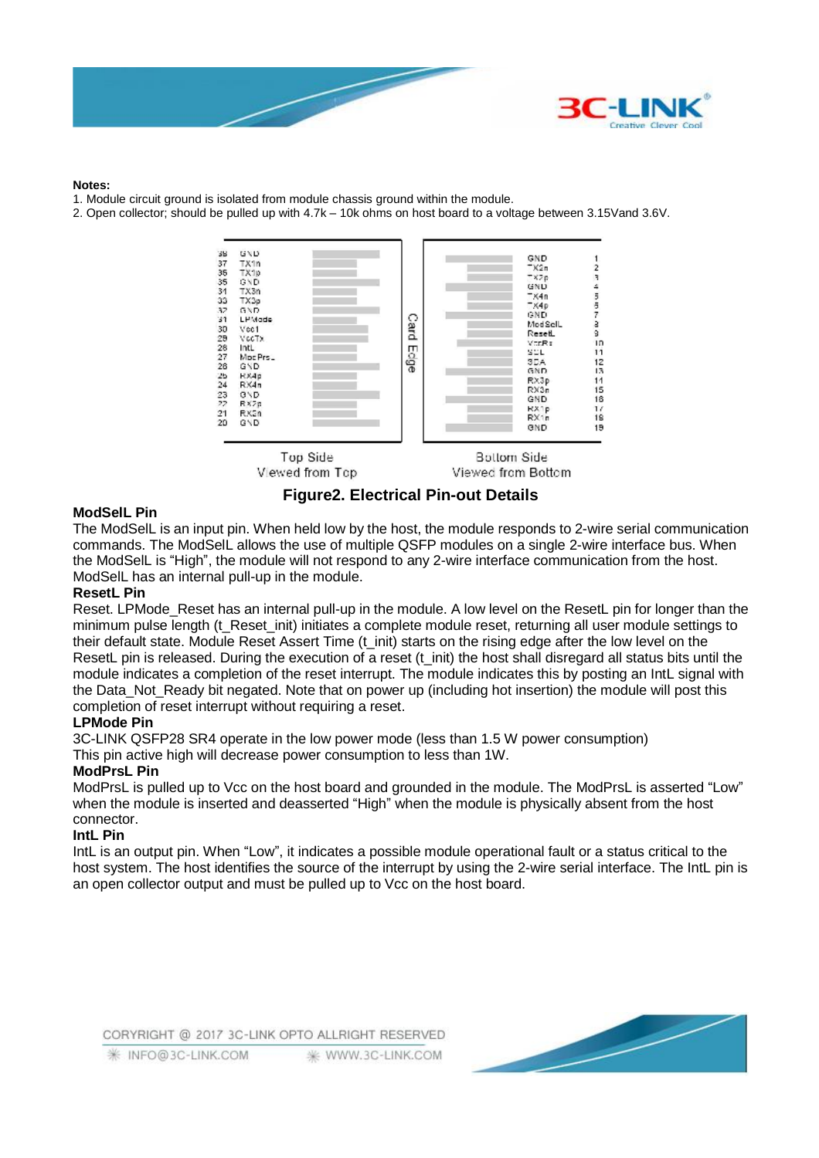

#### **Notes:**

- 1. Module circuit ground is isolated from module chassis ground within the module.
- 2. Open collector; should be pulled up with 4.7k 10k ohms on host board to a voltage between 3.15Vand 3.6V.



**Figure2. Electrical Pin-out Details** 

#### **ModSelL Pin**

The ModSelL is an input pin. When held low by the host, the module responds to 2-wire serial communication commands. The ModSelL allows the use of multiple QSFP modules on a single 2-wire interface bus. When the ModSelL is "High", the module will not respond to any 2-wire interface communication from the host. ModSelL has an internal pull-up in the module.

#### **ResetL Pin**

Reset. LPMode\_Reset has an internal pull-up in the module. A low level on the ResetL pin for longer than the minimum pulse length (t\_Reset\_init) initiates a complete module reset, returning all user module settings to their default state. Module Reset Assert Time (t\_init) starts on the rising edge after the low level on the ResetL pin is released. During the execution of a reset (t\_init) the host shall disregard all status bits until the module indicates a completion of the reset interrupt. The module indicates this by posting an IntL signal with the Data Not Ready bit negated. Note that on power up (including hot insertion) the module will post this completion of reset interrupt without requiring a reset.

#### **LPMode Pin**

3C-LINK QSFP28 SR4 operate in the low power mode (less than 1.5 W power consumption)

This pin active high will decrease power consumption to less than 1W.

#### **ModPrsL Pin**

ModPrsL is pulled up to Vcc on the host board and grounded in the module. The ModPrsL is asserted "Low" when the module is inserted and deasserted "High" when the module is physically absent from the host connector.

#### **IntL Pin**

IntL is an output pin. When "Low", it indicates a possible module operational fault or a status critical to the host system. The host identifies the source of the interrupt by using the 2-wire serial interface. The IntL pin is an open collector output and must be pulled up to Vcc on the host board.

CORYRIGHT @ 2017 3C-LINK OPTO ALLRIGHT RESERVED

**※ INFO@3C-LINK.COM** WWW.3C-LINK.COM

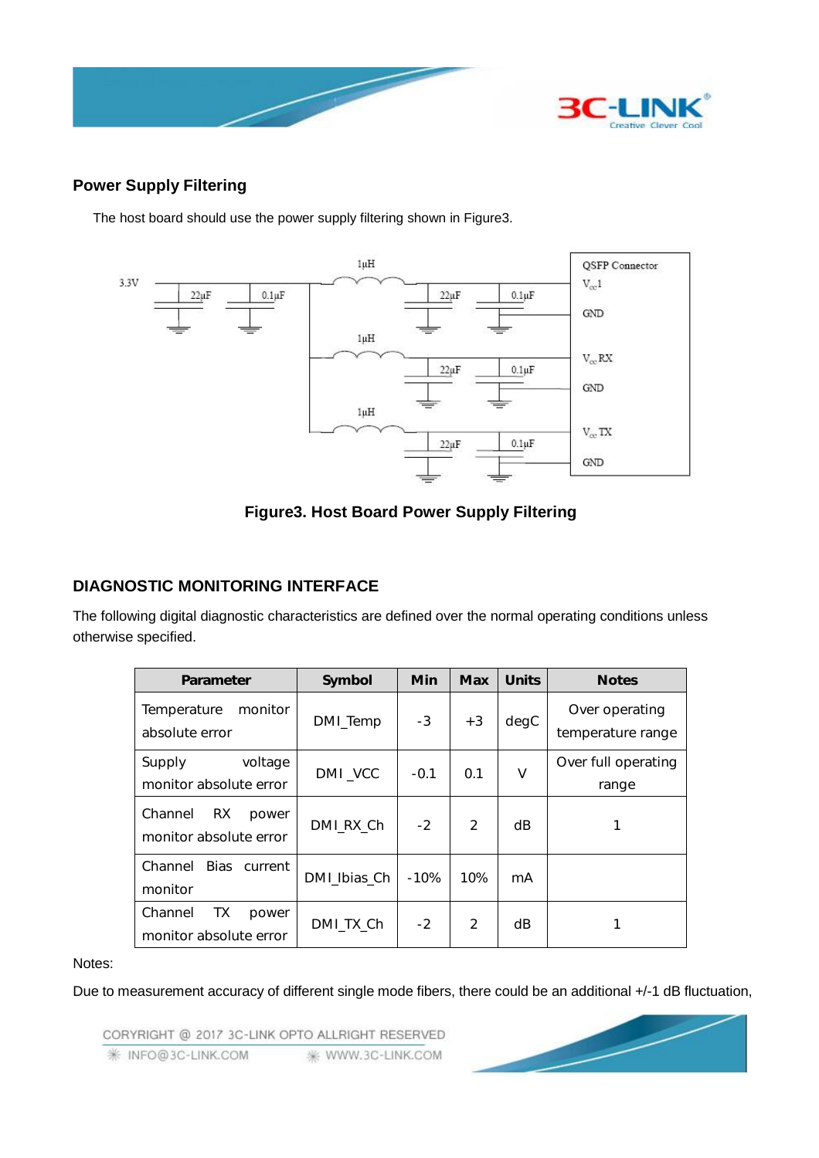

## **Power Supply Filtering**

The host board should use the power supply filtering shown in Figure3.



**Figure3. Host Board Power Supply Filtering** 

# **DIAGNOSTIC MONITORING INTERFACE**

The following digital diagnostic characteristics are defined over the normal operating conditions unless otherwise specified.

| Parameter                                         | Symbol       | <b>Min</b> | <b>Max</b>     | <b>Units</b> | <b>Notes</b>                        |
|---------------------------------------------------|--------------|------------|----------------|--------------|-------------------------------------|
| Temperature<br>monitor<br>absolute error          | DMI_Temp     | $-3$       | $+3$           | degC         | Over operating<br>temperature range |
| voltage<br>Supply<br>monitor absolute error       | DMI_VCC      | $-0.1$     | 0.1            | ٧            | Over full operating<br>range        |
| Channel<br>RX.<br>power<br>monitor absolute error | DMI_RX_Ch    | $-2$       | $\mathfrak{p}$ | dB           |                                     |
| Channel<br>Bias current<br>monitor                | DMI_Ibias_Ch | -10%       | 10%            | mA           |                                     |
| Channel<br>TХ<br>power<br>monitor absolute error  | DMI_TX_Ch    | $-2$       | $\mathfrak{p}$ | dB           |                                     |

#### Notes:

Due to measurement accuracy of different single mode fibers, there could be an additional +/-1 dB fluctuation,

CORYRIGHT @ 2017 3C-LINK OPTO ALLRIGHT RESERVED **/ INFO@3C-LINK.COM 米 WWW.3C-LINK.COM** 

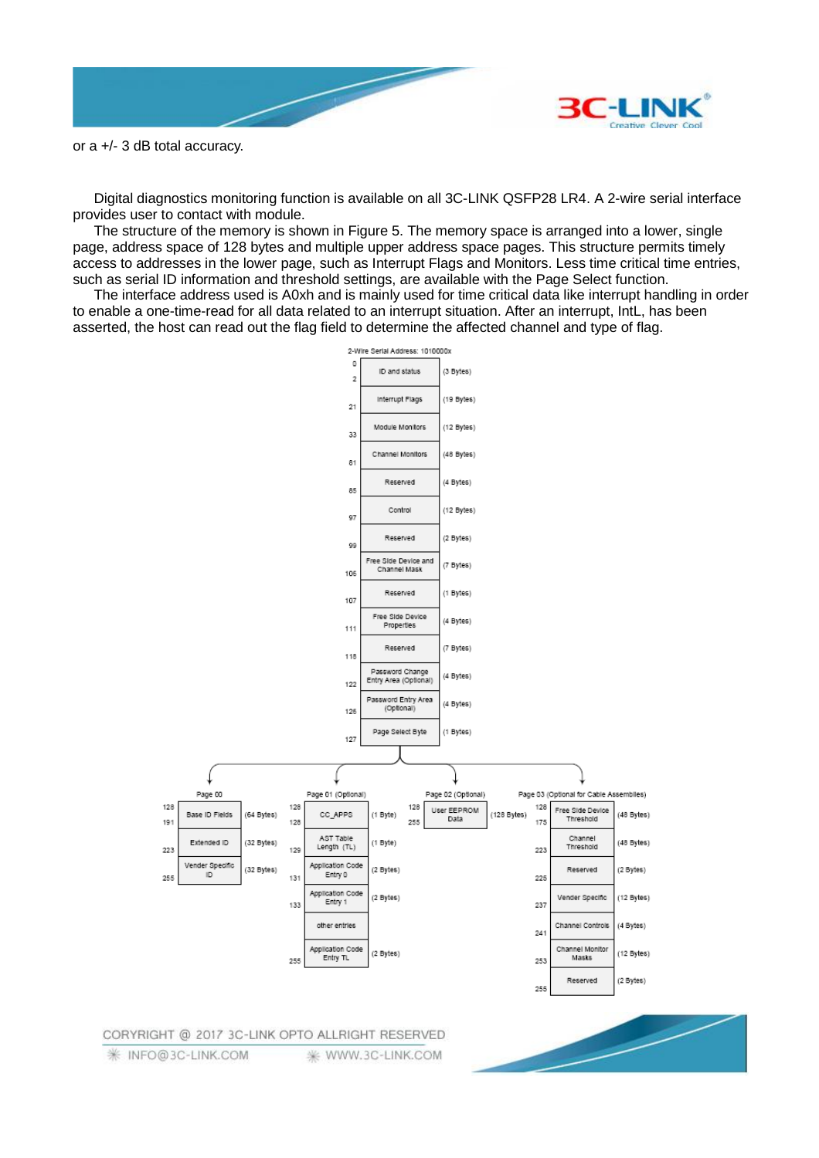

or a +/- 3 dB total accuracy.

Digital diagnostics monitoring function is available on all 3C-LINK QSFP28 LR4. A 2-wire serial interface provides user to contact with module.

The structure of the memory is shown in Figure 5. The memory space is arranged into a lower, single page, address space of 128 bytes and multiple upper address space pages. This structure permits timely access to addresses in the lower page, such as Interrupt Flags and Monitors. Less time critical time entries, such as serial ID information and threshold settings, are available with the Page Select function.

The interface address used is A0xh and is mainly used for time critical data like interrupt handling in order to enable a one-time-read for all data related to an interrupt situation. After an interrupt, IntL, has been asserted, the host can read out the flag field to determine the affected channel and type of flag.

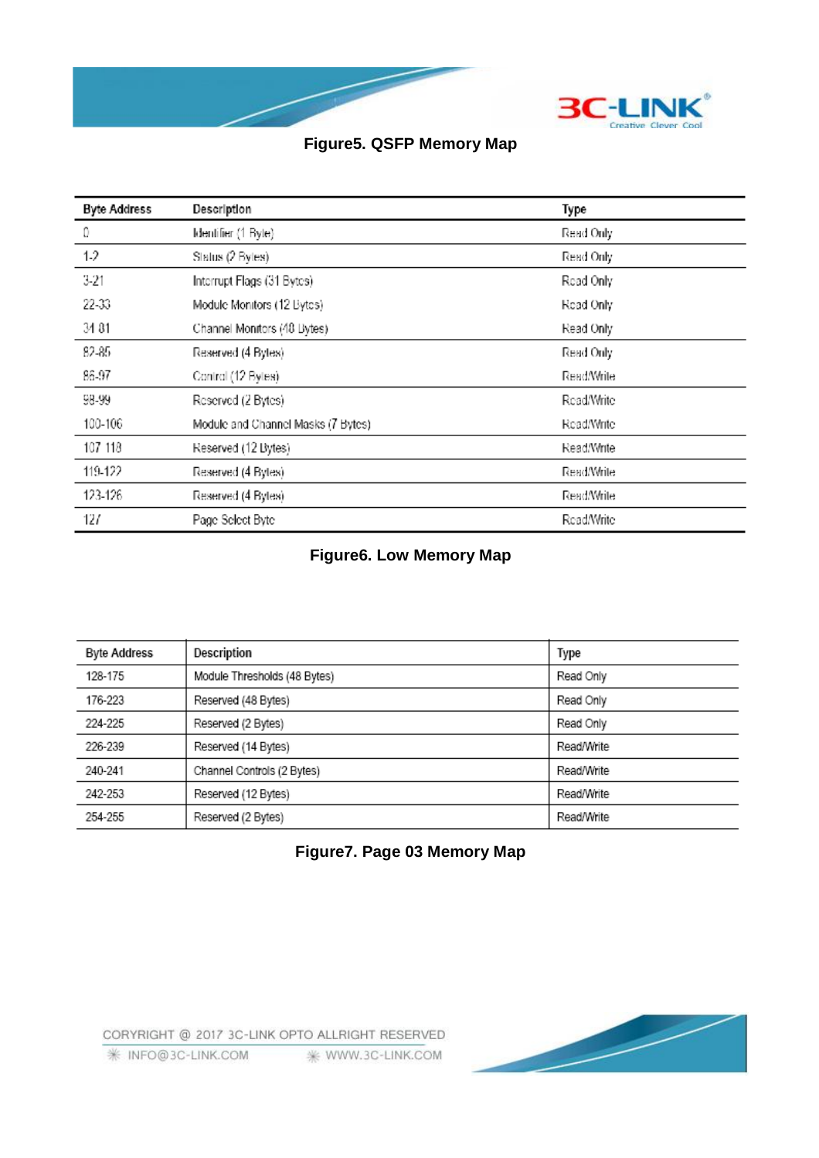

# **Figure5. QSFP Memory Map**

| <b>Byte Address</b> | Description                        | Type       |
|---------------------|------------------------------------|------------|
| Ω                   | Identifier (1 Byte)                | Read Only  |
| 1.2                 | Status (2 Bytes)                   | Read Only  |
| $3-21$              | Interrupt Flags (31 Bytes)         | Read Only  |
| 22-33               | Module Monitors (12 Bytes)         | Read Only  |
| 34 81               | Channel Monitors (48 Bytes)        | Read Only  |
| 82-85               | Reserved (4 Bytes)                 | Read Only  |
| 86-97               | Control (12 Bytes)                 | Read/Write |
| 98-99               | Reserved (2 Bytes)                 | Read/Write |
| 100-106             | Module and Channel Masks (7 Bytes) | Read/Write |
| 107 118             | Reserved (12 Bytes)                | Read/Write |
| 119-122             | Reserved (4 Bytes)                 | Read/Write |
| 123-126             | Reserved (4 Bytes)                 | Read/Write |
| 127                 | Page Select Byte                   | Read/Write |

# **Figure6. Low Memory Map**

| <b>Byte Address</b> | Description                  | Type       |
|---------------------|------------------------------|------------|
| 128-175             | Module Thresholds (48 Bytes) | Read Only  |
| 176-223             | Reserved (48 Bytes)          | Read Only  |
| 224-225             | Reserved (2 Bytes)           | Read Only  |
| 226-239             | Reserved (14 Bytes)          | Read/Write |
| 240-241             | Channel Controls (2 Bytes)   | Read/Write |
| 242-253             | Reserved (12 Bytes)          | Read/Write |
| 254-255             | Reserved (2 Bytes)           | Read/Write |

## **Figure7. Page 03 Memory Map**

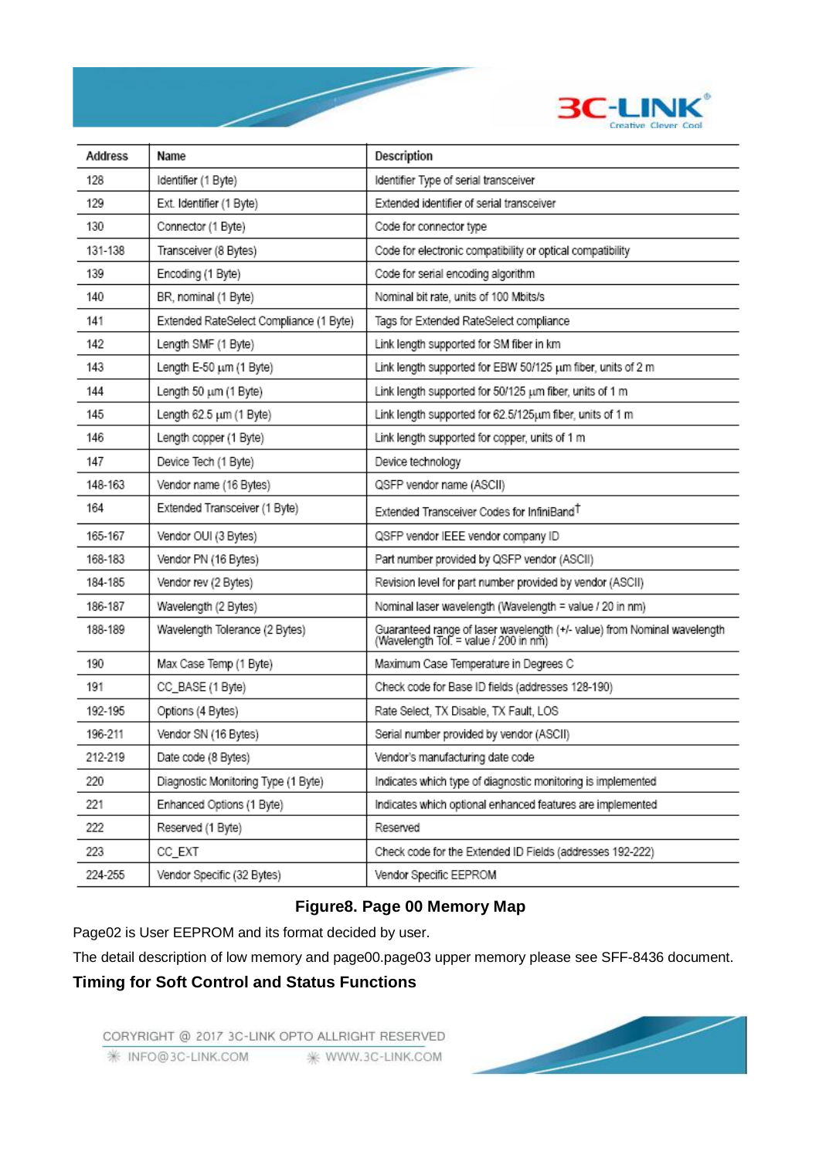

| Address | Name                                    | Description                                                                                                       |
|---------|-----------------------------------------|-------------------------------------------------------------------------------------------------------------------|
| 128     | Identifier (1 Byte)                     | Identifier Type of serial transceiver                                                                             |
| 129     | Ext. Identifier (1 Byte)                | Extended identifier of serial transceiver                                                                         |
| 130     | Connector (1 Byte)                      | Code for connector type                                                                                           |
| 131-138 | Transceiver (8 Bytes)                   | Code for electronic compatibility or optical compatibility                                                        |
| 139     | Encoding (1 Byte)                       | Code for serial encoding algorithm                                                                                |
| 140     | BR, nominal (1 Byte)                    | Nominal bit rate, units of 100 Mbits/s                                                                            |
| 141     | Extended RateSelect Compliance (1 Byte) | Tags for Extended RateSelect compliance                                                                           |
| 142     | Length SMF (1 Byte)                     | Link length supported for SM fiber in km                                                                          |
| 143     | Length E-50 um (1 Byte)                 | Link length supported for EBW 50/125 um fiber, units of 2 m                                                       |
| 144     | Length 50 um (1 Byte)                   | Link length supported for 50/125 um fiber, units of 1 m                                                           |
| 145     | Length 62.5 um (1 Byte)                 | Link length supported for 62.5/125um fiber, units of 1 m                                                          |
| 146     | Length copper (1 Byte)                  | Link length supported for copper, units of 1 m                                                                    |
| 147     | Device Tech (1 Byte)                    | Device technology                                                                                                 |
| 148-163 | Vendor name (16 Bytes)                  | QSFP vendor name (ASCII)                                                                                          |
| 164     | Extended Transceiver (1 Byte)           | Extended Transceiver Codes for InfiniBand <sup>T</sup>                                                            |
| 165-167 | Vendor OUI (3 Bytes)                    | QSFP vendor IEEE vendor company ID                                                                                |
| 168-183 | Vendor PN (16 Bytes)                    | Part number provided by QSFP vendor (ASCII)                                                                       |
| 184-185 | Vendor rev (2 Bytes)                    | Revision level for part number provided by vendor (ASCII)                                                         |
| 186-187 | Wavelength (2 Bytes)                    | Nominal laser wavelength (Wavelength = value / 20 in nm)                                                          |
| 188-189 | Wavelength Tolerance (2 Bytes)          | Guaranteed range of laser wavelength (+/- value) from Nominal wavelength<br>(Wavelength Tol. = value / 200 in nm) |
| 190     | Max Case Temp (1 Byte)                  | Maximum Case Temperature in Degrees C                                                                             |
| 191     | CC_BASE (1 Byte)                        | Check code for Base ID fields (addresses 128-190)                                                                 |
| 192-195 | Options (4 Bytes)                       | Rate Select, TX Disable, TX Fault, LOS                                                                            |
| 196-211 | Vendor SN (16 Bytes)                    | Serial number provided by vendor (ASCII)                                                                          |
| 212-219 | Date code (8 Bytes)                     | Vendor's manufacturing date code                                                                                  |
| 220     | Diagnostic Monitoring Type (1 Byte)     | Indicates which type of diagnostic monitoring is implemented                                                      |
| 221     | Enhanced Options (1 Byte)               | Indicates which optional enhanced features are implemented                                                        |
| 222     | Reserved (1 Byte)                       | Reserved                                                                                                          |
| 223     | CC_EXT                                  | Check code for the Extended ID Fields (addresses 192-222)                                                         |
| 224-255 | Vendor Specific (32 Bytes)              | Vendor Specific EEPROM                                                                                            |

# **Figure8. Page 00 Memory Map**

Page02 is User EEPROM and its format decided by user.

The detail description of low memory and page00.page03 upper memory please see SFF-8436 document.

## **Timing for Soft Control and Status Functions**

CORYRIGHT @ 2017 3C-LINK OPTO ALLRIGHT RESERVED **₩ INFO@3C-LINK.COM** \* WWW.3C-LINK.COM

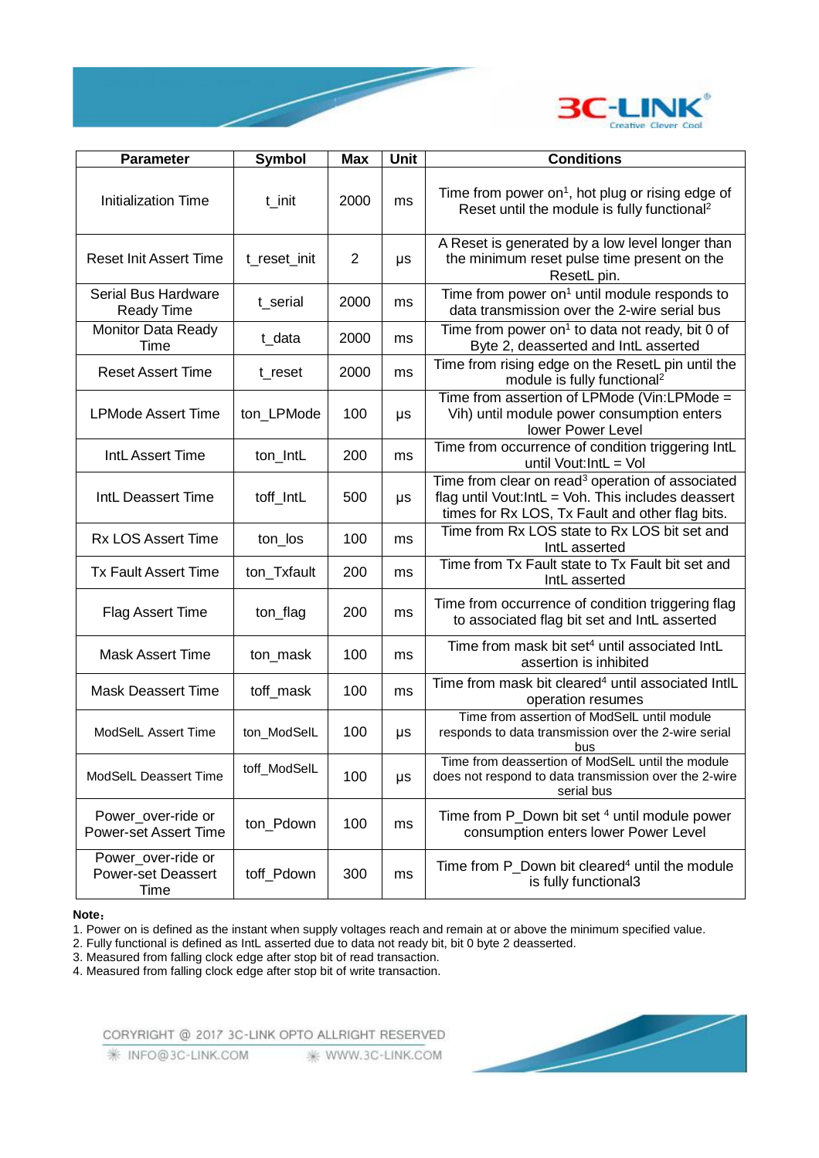

| <b>Parameter</b>                                        | <b>Symbol</b> | <b>Max</b>     | Unit | <b>Conditions</b>                                                                                                                                                     |
|---------------------------------------------------------|---------------|----------------|------|-----------------------------------------------------------------------------------------------------------------------------------------------------------------------|
| Initialization Time                                     | t_init        | 2000           | ms   | Time from power on <sup>1</sup> , hot plug or rising edge of<br>Reset until the module is fully functional <sup>2</sup>                                               |
| <b>Reset Init Assert Time</b>                           | t_reset_init  | $\overline{2}$ | μs   | A Reset is generated by a low level longer than<br>the minimum reset pulse time present on the<br>ResetL pin.                                                         |
| Serial Bus Hardware<br><b>Ready Time</b>                | t_serial      | 2000           | ms   | Time from power on <sup>1</sup> until module responds to<br>data transmission over the 2-wire serial bus                                                              |
| <b>Monitor Data Ready</b><br>Time                       | t_data        | 2000           | ms   | Time from power on <sup>1</sup> to data not ready, bit 0 of<br>Byte 2, deasserted and IntL asserted                                                                   |
| <b>Reset Assert Time</b>                                | t_reset       | 2000           | ms   | Time from rising edge on the ResetL pin until the<br>module is fully functional <sup>2</sup>                                                                          |
| <b>LPMode Assert Time</b>                               | ton_LPMode    | 100            | μs   | Time from assertion of LPMode (Vin:LPMode =<br>Vih) until module power consumption enters<br>lower Power Level                                                        |
| IntL Assert Time                                        | ton_IntL      | 200            | ms   | Time from occurrence of condition triggering IntL<br>until Vout: IntL = Vol                                                                                           |
| IntL Deassert Time                                      | toff_IntL     | 500            | μs   | Time from clear on read <sup>3</sup> operation of associated<br>flag until Vout:IntL = Voh. This includes deassert<br>times for Rx LOS, Tx Fault and other flag bits. |
| <b>Rx LOS Assert Time</b>                               | ton_los       | 100            | ms   | Time from Rx LOS state to Rx LOS bit set and<br>IntL asserted                                                                                                         |
| <b>Tx Fault Assert Time</b>                             | ton_Txfault   | 200            | ms   | Time from Tx Fault state to Tx Fault bit set and<br>IntL asserted                                                                                                     |
| Flag Assert Time                                        | ton_flag      | 200            | ms   | Time from occurrence of condition triggering flag<br>to associated flag bit set and IntL asserted                                                                     |
| <b>Mask Assert Time</b>                                 | ton_mask      | 100            | ms   | Time from mask bit set <sup>4</sup> until associated IntL<br>assertion is inhibited                                                                                   |
| <b>Mask Deassert Time</b>                               | toff_mask     | 100            | ms   | Time from mask bit cleared <sup>4</sup> until associated IntlL<br>operation resumes                                                                                   |
| ModSelL Assert Time                                     | ton ModSelL   | 100            | μs   | Time from assertion of ModSelL until module<br>responds to data transmission over the 2-wire serial<br>bus                                                            |
| ModSelL Deassert Time                                   | toff_ModSelL  | 100            | μs   | Time from deassertion of ModSelL until the module<br>does not respond to data transmission over the 2-wire<br>serial bus                                              |
| Power over-ride or<br><b>Power-set Assert Time</b>      | ton_Pdown     | 100            | ms   | Time from P Down bit set 4 until module power<br>consumption enters lower Power Level                                                                                 |
| Power_over-ride or<br><b>Power-set Deassert</b><br>Time | toff_Pdown    | 300            | ms   | Time from P Down bit cleared <sup>4</sup> until the module<br>is fully functional3                                                                                    |

**Note:**

1. Power on is defined as the instant when supply voltages reach and remain at or above the minimum specified value.

2. Fully functional is defined as IntL asserted due to data not ready bit, bit 0 byte 2 deasserted.

3. Measured from falling clock edge after stop bit of read transaction.

4. Measured from falling clock edge after stop bit of write transaction.

CORYRIGHT @ 2017 3C-LINK OPTO ALLRIGHT RESERVED

₩ INFO@3C-LINK.COM ₩ WWW.3C-LINK.COM

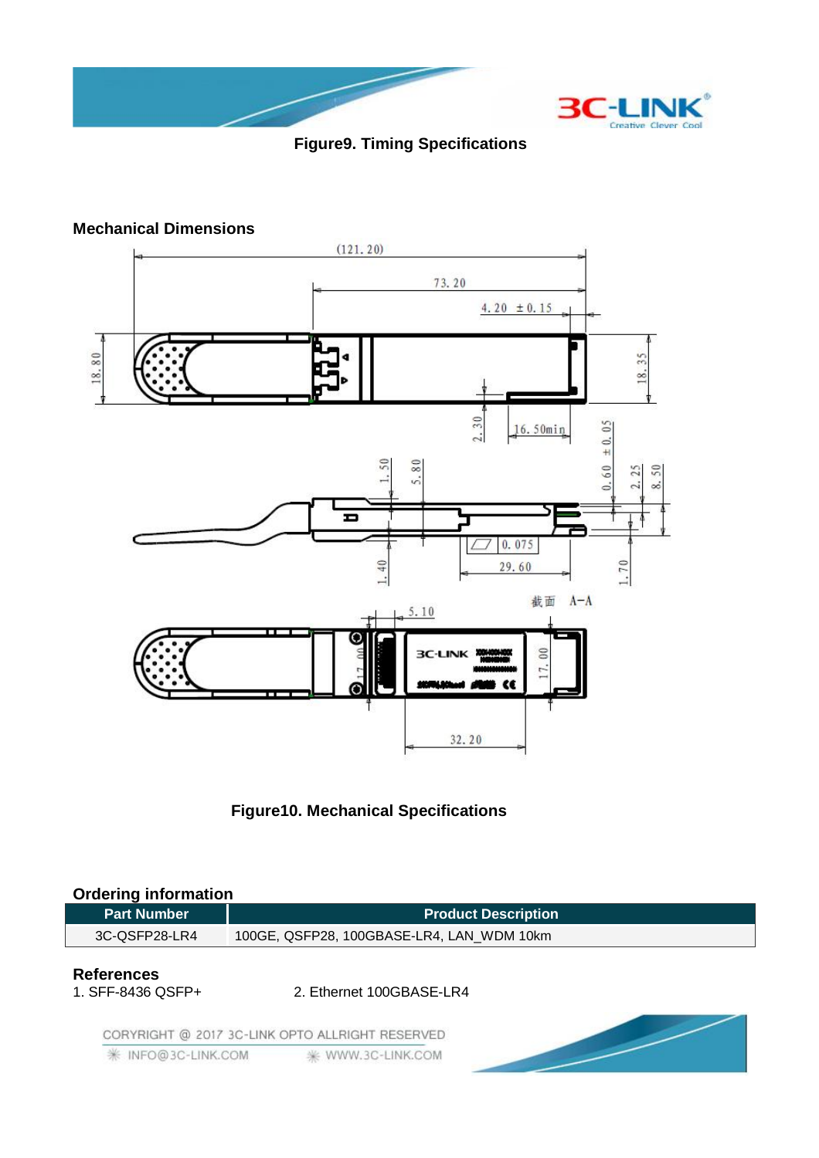

# **Figure9. Timing Specifications**

### **Mechanical Dimensions**





### **Ordering information**

| <b>Part Number</b>                     | <b>Product Description</b>                      |  |
|----------------------------------------|-------------------------------------------------|--|
| 3C-QSFP28-LR4                          | 100GE, QSFP28, 100GBASE-LR4, LAN_WDM 10km       |  |
| <b>References</b><br>1. SFF-8436 QSFP+ | 2. Ethernet 100GBASE-LR4                        |  |
|                                        | CORYRIGHT @ 2017 3C-LINK OPTO ALLRIGHT RESERVED |  |

₩ INFO@3C-LINK.COM <sub>\*</sub> WWW.3C-LINK.COM